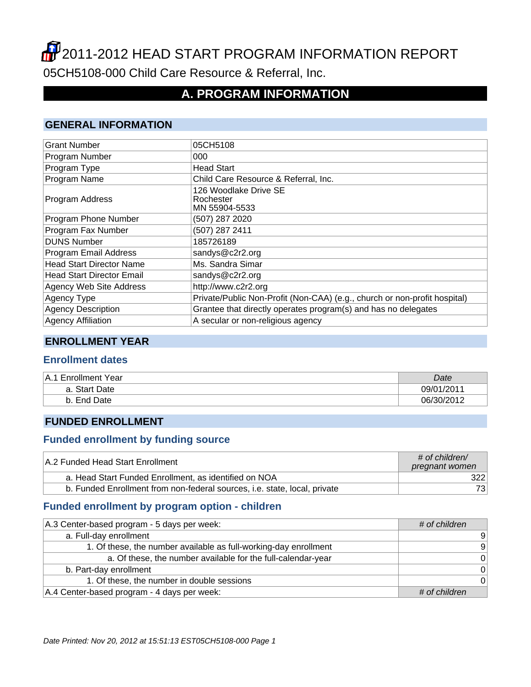# **2011-2012 HEAD START PROGRAM INFORMATION REPORT** 05CH5108-000 Child Care Resource & Referral, Inc.

## **A. PROGRAM INFORMATION**

#### **GENERAL INFORMATION**

| <b>Grant Number</b>              | 05CH5108                                                                  |
|----------------------------------|---------------------------------------------------------------------------|
| Program Number                   | 000                                                                       |
| Program Type                     | <b>Head Start</b>                                                         |
| Program Name                     | Child Care Resource & Referral, Inc.                                      |
| Program Address                  | 126 Woodlake Drive SE<br>Rochester<br>MN 55904-5533                       |
| Program Phone Number             | (507) 287 2020                                                            |
| Program Fax Number               | (507) 287 2411                                                            |
| <b>DUNS Number</b>               | 185726189                                                                 |
| Program Email Address            | sandys@c2r2.org                                                           |
| <b>Head Start Director Name</b>  | Ms. Sandra Simar                                                          |
| <b>Head Start Director Email</b> | sandys@c2r2.org                                                           |
| Agency Web Site Address          | http://www.c2r2.org                                                       |
| Agency Type                      | Private/Public Non-Profit (Non-CAA) (e.g., church or non-profit hospital) |
| <b>Agency Description</b>        | Grantee that directly operates program(s) and has no delegates            |
| <b>Agency Affiliation</b>        | A secular or non-religious agency                                         |

#### **ENROLLMENT YEAR**

#### **Enrollment dates**

| <b>Enrollment Year</b><br>⊦A.1 | Date       |
|--------------------------------|------------|
| a. Start Date                  | 09/01/2011 |
| Date<br>End<br>D.              | 06/30/2012 |

#### **FUNDED ENROLLMENT**

#### **Funded enrollment by funding source**

| A.2 Funded Head Start Enrollment                                          | $\#$ of children/<br>pregnant women |
|---------------------------------------------------------------------------|-------------------------------------|
| a. Head Start Funded Enrollment, as identified on NOA                     | 322                                 |
| b. Funded Enrollment from non-federal sources, i.e. state, local, private | 73                                  |

## **Funded enrollment by program option - children**

| A.3 Center-based program - 5 days per week:                      | # of children |
|------------------------------------------------------------------|---------------|
| a. Full-day enrollment                                           | 9             |
| 1. Of these, the number available as full-working-day enrollment | 9             |
| a. Of these, the number available for the full-calendar-year     | 0             |
| b. Part-day enrollment                                           | 0             |
| 1. Of these, the number in double sessions                       | 0             |
| A.4 Center-based program - 4 days per week:                      | # of children |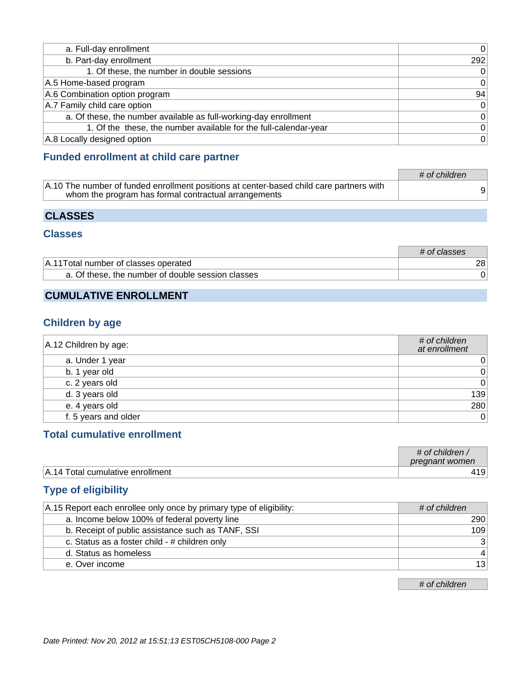| a. Full-day enrollment                                           | $\mathbf 0$ |
|------------------------------------------------------------------|-------------|
| b. Part-day enrollment                                           | 292         |
| 1. Of these, the number in double sessions                       | $\mathbf 0$ |
| A.5 Home-based program                                           | $\Omega$    |
| A.6 Combination option program                                   | 94          |
| A.7 Family child care option                                     | $\mathbf 0$ |
| a. Of these, the number available as full-working-day enrollment | 0           |
| 1. Of the these, the number available for the full-calendar-year | $\Omega$    |
| A.8 Locally designed option                                      | 0           |

#### **Funded enrollment at child care partner**

|                                                                                                                                                 | # of children |
|-------------------------------------------------------------------------------------------------------------------------------------------------|---------------|
| A.10 The number of funded enrollment positions at center-based child care partners with<br>whom the program has formal contractual arrangements |               |

## **CLASSES**

#### **Classes**

|                                                   | # of classes |
|---------------------------------------------------|--------------|
| A.11 Total number of classes operated             | 281          |
| a. Of these, the number of double session classes |              |

## **CUMULATIVE ENROLLMENT**

## **Children by age**

| A.12 Children by age: | # of children<br>at enrollment |
|-----------------------|--------------------------------|
| a. Under 1 year       | $0^{\circ}$                    |
| b. 1 year old         | $\overline{0}$                 |
| c. 2 years old        | 0                              |
| d. 3 years old        | 139                            |
| e. 4 years old        | 280                            |
| f. 5 years and older  | 0                              |

#### **Total cumulative enrollment**

|                                         | # of children<br>pregnant women |
|-----------------------------------------|---------------------------------|
| <b>A.14 Total cumulative enrollment</b> | $.19+$                          |

## **Type of eligibility**

| A.15 Report each enrollee only once by primary type of eligibility: | # of children    |
|---------------------------------------------------------------------|------------------|
| a. Income below 100% of federal poverty line                        | 290 <sup>1</sup> |
| b. Receipt of public assistance such as TANF, SSI                   | 109              |
| c. Status as a foster child - # children only                       | 3 <sup>1</sup>   |
| d. Status as homeless                                               | $\vert$ 4        |
| e. Over income                                                      | 13               |

# of children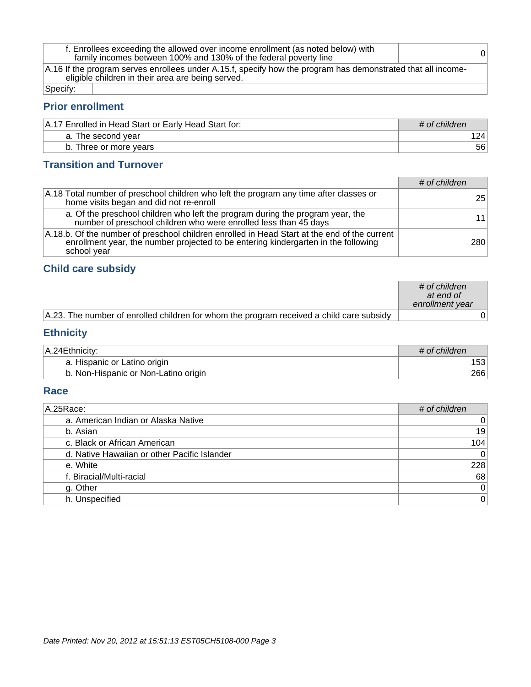| f. Enrollees exceeding the allowed over income enrollment (as noted below) with<br>family incomes between 100% and 130% of the federal poverty line |  |
|-----------------------------------------------------------------------------------------------------------------------------------------------------|--|
| A.16 If the program serves enrollees under A.15.f, specify how the program has demonstrated that all income-                                        |  |
| eligible children in their area are being served.                                                                                                   |  |

Specify:

## **Prior enrollment**

| A.17 Enrolled in Head Start or Early Head Start for: | $\#$ of children |
|------------------------------------------------------|------------------|
| a. The second year                                   |                  |
| b. Three or more years                               | $56^{\circ}$     |

## **Transition and Turnover**

|                                         |                                                                                                                                                                                    | # of children   |
|-----------------------------------------|------------------------------------------------------------------------------------------------------------------------------------------------------------------------------------|-----------------|
| home visits began and did not re-enroll | A.18 Total number of preschool children who left the program any time after classes or                                                                                             | 25 <sup>1</sup> |
|                                         | a. Of the preschool children who left the program during the program year, the<br>number of preschool children who were enrolled less than 45 days                                 | 11              |
| school year                             | A.18.b. Of the number of preschool children enrolled in Head Start at the end of the current<br>enrollment year, the number projected to be entering kindergarten in the following | 280             |

## **Child care subsidy**

|                                                                                             | $\#$ of children<br>at end of<br>enrollment year |
|---------------------------------------------------------------------------------------------|--------------------------------------------------|
| $A.23$ . The number of enrolled children for whom the program received a child care subsidy |                                                  |

## **Ethnicity**

| A.24 Ethnicity:                      | # of children |
|--------------------------------------|---------------|
| a. Hispanic or Latino origin         |               |
| b. Non-Hispanic or Non-Latino origin | 266           |

#### **Race**

| A.25 Race:                                   | # of children  |
|----------------------------------------------|----------------|
| a. American Indian or Alaska Native          | $\overline{0}$ |
| b. Asian                                     | 19             |
| c. Black or African American                 | 104            |
| d. Native Hawaiian or other Pacific Islander | 0              |
| e. White                                     | 228            |
| f. Biracial/Multi-racial                     | 68             |
| g. Other                                     | $\overline{0}$ |
| h. Unspecified                               | $\overline{0}$ |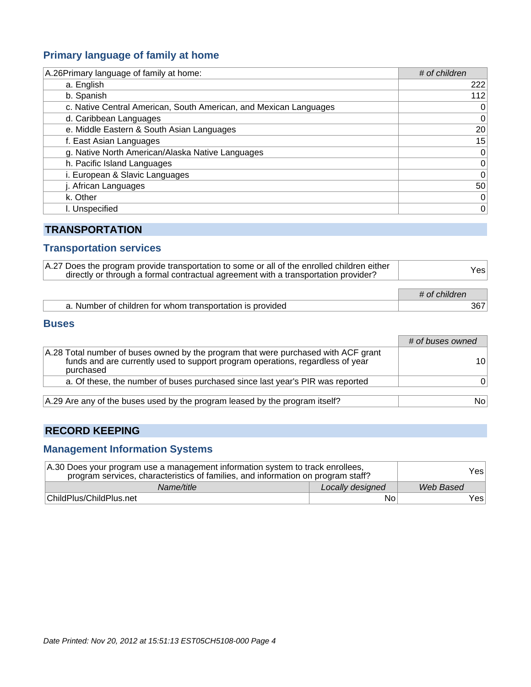## **Primary language of family at home**

| A.26 Primary language of family at home:                          | # of children |
|-------------------------------------------------------------------|---------------|
| a. English                                                        | 222           |
| b. Spanish                                                        | 112           |
| c. Native Central American, South American, and Mexican Languages | 0             |
| d. Caribbean Languages                                            | 0             |
| e. Middle Eastern & South Asian Languages                         | 20            |
| f. East Asian Languages                                           | 15            |
| g. Native North American/Alaska Native Languages                  | 0             |
| h. Pacific Island Languages                                       | $\mathbf 0$   |
| i. European & Slavic Languages                                    | 0             |
| j. African Languages                                              | 50            |
| k. Other                                                          | 0             |
| I. Unspecified                                                    | 0             |

## **TRANSPORTATION**

#### **Transportation services**

| A.27 Does the program provide transportation to some or all of the enrolled children either<br>directly or through a formal contractual agreement with a transportation provider? | Yesl          |
|-----------------------------------------------------------------------------------------------------------------------------------------------------------------------------------|---------------|
|                                                                                                                                                                                   | # of children |
| a. Number of children for whom transportation is provided                                                                                                                         | 367           |

#### **Buses**

|                                                                                                                                                                                   | # of buses owned |
|-----------------------------------------------------------------------------------------------------------------------------------------------------------------------------------|------------------|
| A.28 Total number of buses owned by the program that were purchased with ACF grant<br>funds and are currently used to support program operations, regardless of year<br>purchased | 10               |
| a. Of these, the number of buses purchased since last year's PIR was reported                                                                                                     | $^{\circ}$       |
| A.29 Are any of the buses used by the program leased by the program itself?                                                                                                       | Nol              |

## **RECORD KEEPING**

#### **Management Information Systems**

| A.30 Does your program use a management information system to track enrollees,<br>program services, characteristics of families, and information on program staff? |                  | Yesl      |
|--------------------------------------------------------------------------------------------------------------------------------------------------------------------|------------------|-----------|
| Name/title                                                                                                                                                         | Locally designed | Web Based |
| ChildPlus/ChildPlus.net                                                                                                                                            | No               | Yes∣      |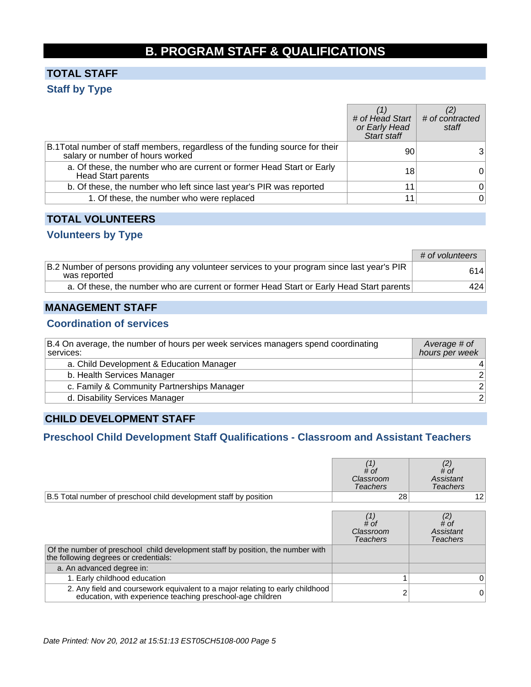## **B. PROGRAM STAFF & QUALIFICATIONS**

## **TOTAL STAFF Staff by Type**

|                                                                                                                   | # of Head Start # of contracted<br>or Early Head<br>Start staff | staff          |
|-------------------------------------------------------------------------------------------------------------------|-----------------------------------------------------------------|----------------|
| B.1 Total number of staff members, regardless of the funding source for their<br>salary or number of hours worked | 90                                                              |                |
| a. Of these, the number who are current or former Head Start or Early<br><b>Head Start parents</b>                | 18                                                              | 0              |
| b. Of these, the number who left since last year's PIR was reported                                               |                                                                 | 0              |
| 1. Of these, the number who were replaced                                                                         | 11                                                              | $\overline{0}$ |

#### **TOTAL VOLUNTEERS**

### **Volunteers by Type**

|                                                                                                              | # of volunteers |
|--------------------------------------------------------------------------------------------------------------|-----------------|
| B.2 Number of persons providing any volunteer services to your program since last year's PIR<br>was reported | 614             |
| a. Of these, the number who are current or former Head Start or Early Head Start parents                     | 424             |

#### **MANAGEMENT STAFF**

#### **Coordination of services**

| B.4 On average, the number of hours per week services managers spend coordinating<br>services: | Average # of<br>hours per week |
|------------------------------------------------------------------------------------------------|--------------------------------|
| a. Child Development & Education Manager                                                       |                                |
| b. Health Services Manager                                                                     | $\overline{2}$                 |
| c. Family & Community Partnerships Manager                                                     | $\overline{2}$                 |
| d. Disability Services Manager                                                                 | 2 <sup>2</sup>                 |

#### **CHILD DEVELOPMENT STAFF**

## **Preschool Child Development Staff Qualifications - Classroom and Assistant Teachers**

|                                                                                                                                             | # of<br>Classroom<br><b>Teachers</b> | $\begin{smallmatrix} (2) \ H \end{smallmatrix}$<br>Assistant<br><b>Teachers</b> |
|---------------------------------------------------------------------------------------------------------------------------------------------|--------------------------------------|---------------------------------------------------------------------------------|
| B.5 Total number of preschool child development staff by position                                                                           | 28                                   | 12.                                                                             |
|                                                                                                                                             | # of<br>Classroom<br><b>Teachers</b> | $\begin{smallmatrix} (2) \\ # \text{ }$<br>Assistant<br><b>Teachers</b>         |
| Of the number of preschool child development staff by position, the number with<br>the following degrees or credentials:                    |                                      |                                                                                 |
| a. An advanced degree in:                                                                                                                   |                                      |                                                                                 |
| 1. Early childhood education                                                                                                                |                                      | 0                                                                               |
| 2. Any field and coursework equivalent to a major relating to early childhood<br>education, with experience teaching preschool-age children |                                      | 0                                                                               |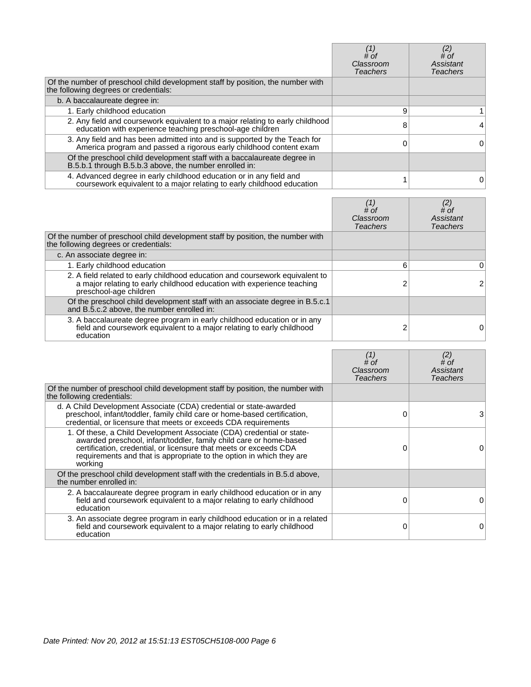|                                                                                                                                                 | # of<br>Classroom<br><b>Teachers</b> | # of<br>Assistant<br>Teachers |
|-------------------------------------------------------------------------------------------------------------------------------------------------|--------------------------------------|-------------------------------|
| Of the number of preschool child development staff by position, the number with<br>the following degrees or credentials:                        |                                      |                               |
| b. A baccalaureate degree in:                                                                                                                   |                                      |                               |
| 1. Early childhood education                                                                                                                    | 9                                    |                               |
| 2. Any field and coursework equivalent to a major relating to early childhood<br>education with experience teaching preschool-age children      | 8                                    |                               |
| 3. Any field and has been admitted into and is supported by the Teach for<br>America program and passed a rigorous early childhood content exam |                                      | 0                             |
| Of the preschool child development staff with a baccalaureate degree in<br>B.5.b.1 through B.5.b.3 above, the number enrolled in:               |                                      |                               |
| 4. Advanced degree in early childhood education or in any field and<br>coursework equivalent to a major relating to early childhood education   |                                      | 0                             |

|                                                                                                                                                                                  | # of<br>Classroom<br><b>Teachers</b> | (2)<br># of<br>Assistant<br><b>Teachers</b> |
|----------------------------------------------------------------------------------------------------------------------------------------------------------------------------------|--------------------------------------|---------------------------------------------|
| Of the number of preschool child development staff by position, the number with<br>the following degrees or credentials:                                                         |                                      |                                             |
| c. An associate degree in:                                                                                                                                                       |                                      |                                             |
| 1. Early childhood education                                                                                                                                                     | 6                                    | 0                                           |
| 2. A field related to early childhood education and coursework equivalent to<br>a major relating to early childhood education with experience teaching<br>preschool-age children |                                      |                                             |
| Of the preschool child development staff with an associate degree in B.5.c.1<br>and B.5.c.2 above, the number enrolled in:                                                       |                                      |                                             |
| 3. A baccalaureate degree program in early childhood education or in any<br>field and coursework equivalent to a major relating to early childhood<br>education                  |                                      | $\mathbf{0}$                                |

|                                                                                                                                                                                                                                                                                                     | (1)<br># of<br>Classroom<br>Teachers | (2)<br># of<br>Assistant<br><b>Teachers</b> |
|-----------------------------------------------------------------------------------------------------------------------------------------------------------------------------------------------------------------------------------------------------------------------------------------------------|--------------------------------------|---------------------------------------------|
| Of the number of preschool child development staff by position, the number with<br>the following credentials:                                                                                                                                                                                       |                                      |                                             |
| d. A Child Development Associate (CDA) credential or state-awarded<br>preschool, infant/toddler, family child care or home-based certification,<br>credential, or licensure that meets or exceeds CDA requirements                                                                                  |                                      | з                                           |
| 1. Of these, a Child Development Associate (CDA) credential or state-<br>awarded preschool, infant/toddler, family child care or home-based<br>certification, credential, or licensure that meets or exceeds CDA<br>requirements and that is appropriate to the option in which they are<br>working |                                      |                                             |
| Of the preschool child development staff with the credentials in B.5.d above,<br>the number enrolled in:                                                                                                                                                                                            |                                      |                                             |
| 2. A baccalaureate degree program in early childhood education or in any<br>field and coursework equivalent to a major relating to early childhood<br>education                                                                                                                                     | 0                                    | O                                           |
| 3. An associate degree program in early childhood education or in a related<br>field and coursework equivalent to a major relating to early childhood<br>education                                                                                                                                  |                                      |                                             |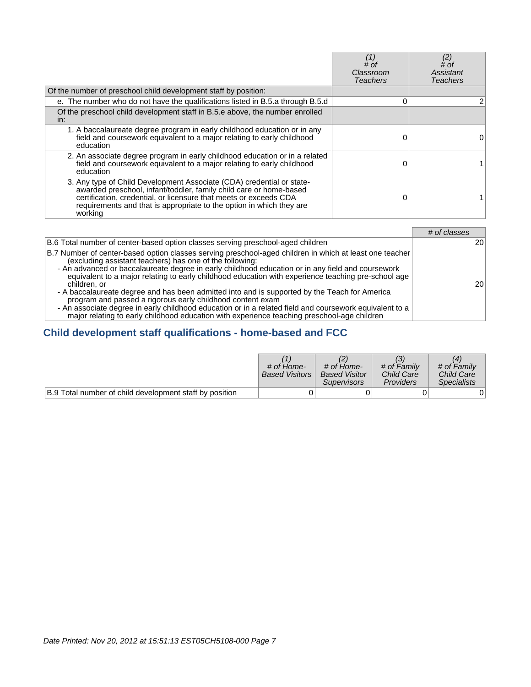|                                                                                                                                                                                                                                                                                                     | (1)<br># of<br>Classroom<br>Teachers | $^{(2)}_{\# \text{ of }}$<br>Assistant<br>Teachers |
|-----------------------------------------------------------------------------------------------------------------------------------------------------------------------------------------------------------------------------------------------------------------------------------------------------|--------------------------------------|----------------------------------------------------|
| Of the number of preschool child development staff by position:                                                                                                                                                                                                                                     |                                      |                                                    |
| e. The number who do not have the qualifications listed in B.5.a through B.5.d                                                                                                                                                                                                                      | 0                                    |                                                    |
| Of the preschool child development staff in B.5.e above, the number enrolled<br>in:                                                                                                                                                                                                                 |                                      |                                                    |
| 1. A baccalaureate degree program in early childhood education or in any<br>field and coursework equivalent to a major relating to early childhood<br>education                                                                                                                                     |                                      | 0                                                  |
| 2. An associate degree program in early childhood education or in a related<br>field and coursework equivalent to a major relating to early childhood<br>education                                                                                                                                  | O                                    |                                                    |
| 3. Any type of Child Development Associate (CDA) credential or state-<br>awarded preschool, infant/toddler, family child care or home-based<br>certification, credential, or licensure that meets or exceeds CDA<br>requirements and that is appropriate to the option in which they are<br>working |                                      |                                                    |

|                                                                                                                                                                                                                                                                                                                                                                                                                                                                                                                                                                                                                                                                                                                                                                          | # of classes    |
|--------------------------------------------------------------------------------------------------------------------------------------------------------------------------------------------------------------------------------------------------------------------------------------------------------------------------------------------------------------------------------------------------------------------------------------------------------------------------------------------------------------------------------------------------------------------------------------------------------------------------------------------------------------------------------------------------------------------------------------------------------------------------|-----------------|
| B.6 Total number of center-based option classes serving preschool-aged children                                                                                                                                                                                                                                                                                                                                                                                                                                                                                                                                                                                                                                                                                          | 20 I            |
| B.7 Number of center-based option classes serving preschool-aged children in which at least one teacher<br>(excluding assistant teachers) has one of the following:<br>- An advanced or baccalaureate degree in early childhood education or in any field and coursework<br>equivalent to a major relating to early childhood education with experience teaching pre-school age<br>children, or<br>- A baccalaureate degree and has been admitted into and is supported by the Teach for America<br>program and passed a rigorous early childhood content exam<br>- An associate degree in early childhood education or in a related field and coursework equivalent to a<br>major relating to early childhood education with experience teaching preschool-age children | 20 <sub>1</sub> |

## **Child development staff qualifications - home-based and FCC**

|                                                         | # of Home-<br><b>Based Visitors</b> | # of Home-<br><b>Based Visitor</b><br><b>Supervisors</b> | # of Family<br><b>Child Care</b><br><b>Providers</b> | $\overline{a}$<br># of Family<br>Child Care<br>Specialists |
|---------------------------------------------------------|-------------------------------------|----------------------------------------------------------|------------------------------------------------------|------------------------------------------------------------|
| B.9 Total number of child development staff by position |                                     |                                                          |                                                      |                                                            |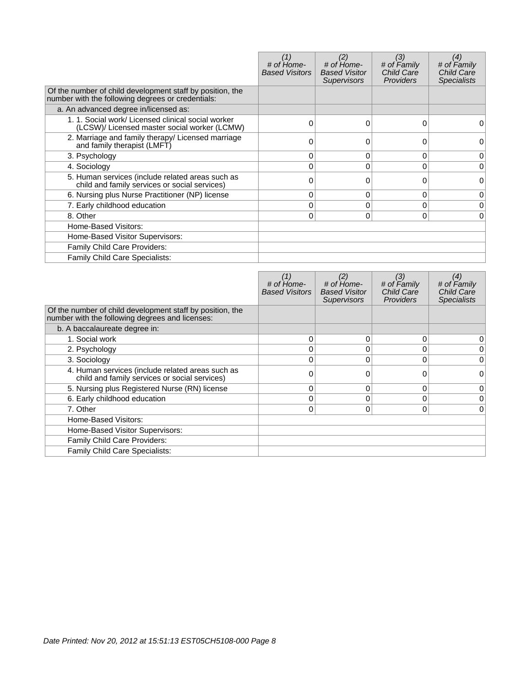|                                                                                                                | # of Home-<br><b>Based Visitors</b> | (2)<br># of Home-<br><b>Based Visitor</b><br><b>Supervisors</b> | (3)<br># of Family<br><b>Child Care</b><br><b>Providers</b> | (4)<br># of Family<br><b>Child Care</b><br><b>Specialists</b> |
|----------------------------------------------------------------------------------------------------------------|-------------------------------------|-----------------------------------------------------------------|-------------------------------------------------------------|---------------------------------------------------------------|
| Of the number of child development staff by position, the<br>number with the following degrees or credentials: |                                     |                                                                 |                                                             |                                                               |
| a. An advanced degree in/licensed as:                                                                          |                                     |                                                                 |                                                             |                                                               |
| 1. 1. Social work/ Licensed clinical social worker<br>(LCSW)/ Licensed master social worker (LCMW)             | 0                                   | 0                                                               | 0                                                           |                                                               |
| 2. Marriage and family therapy/ Licensed marriage<br>and family therapist (LMFT)                               | 0                                   | Ω                                                               | 0                                                           | 0                                                             |
| 3. Psychology                                                                                                  | 0                                   | 0                                                               | $\Omega$                                                    | 0                                                             |
| 4. Sociology                                                                                                   | 0                                   |                                                                 | $\Omega$                                                    | 0                                                             |
| 5. Human services (include related areas such as<br>child and family services or social services)              | 0                                   | O                                                               | 0                                                           | 0                                                             |
| 6. Nursing plus Nurse Practitioner (NP) license                                                                | 0                                   | 0                                                               | 0                                                           | 0                                                             |
| 7. Early childhood education                                                                                   | 0                                   | 0                                                               | 0                                                           | $\Omega$                                                      |
| 8. Other                                                                                                       | $\Omega$                            | 0                                                               | $\mathbf{0}$                                                | 0                                                             |
| Home-Based Visitors:                                                                                           |                                     |                                                                 |                                                             |                                                               |
| Home-Based Visitor Supervisors:                                                                                |                                     |                                                                 |                                                             |                                                               |
| Family Child Care Providers:                                                                                   |                                     |                                                                 |                                                             |                                                               |
| Family Child Care Specialists:                                                                                 |                                     |                                                                 |                                                             |                                                               |

|                                                                                                              | # of Home-<br><b>Based Visitors</b> | # of Home-<br><b>Based Visitor</b><br>Supervisors | (3)<br># of Family<br><b>Child Care</b><br><b>Providers</b> | (4)<br># of Family<br><b>Child Care</b><br><b>Specialists</b> |
|--------------------------------------------------------------------------------------------------------------|-------------------------------------|---------------------------------------------------|-------------------------------------------------------------|---------------------------------------------------------------|
| Of the number of child development staff by position, the<br>number with the following degrees and licenses: |                                     |                                                   |                                                             |                                                               |
| b. A baccalaureate degree in:                                                                                |                                     |                                                   |                                                             |                                                               |
| 1. Social work                                                                                               | 0                                   | 0                                                 | $\mathbf{0}$                                                | 0                                                             |
| 2. Psychology                                                                                                |                                     | 0                                                 | 0                                                           | 0                                                             |
| 3. Sociology                                                                                                 | 0                                   | 0                                                 | 0                                                           | 0                                                             |
| 4. Human services (include related areas such as<br>child and family services or social services)            |                                     |                                                   | 0                                                           | 0                                                             |
| 5. Nursing plus Registered Nurse (RN) license                                                                | U                                   | 0                                                 | $\Omega$                                                    | 0                                                             |
| 6. Early childhood education                                                                                 |                                     |                                                   | $\Omega$                                                    | 0                                                             |
| 7. Other                                                                                                     | 0                                   | 0                                                 | 0                                                           | $\Omega$                                                      |
| Home-Based Visitors:                                                                                         |                                     |                                                   |                                                             |                                                               |
| Home-Based Visitor Supervisors:                                                                              |                                     |                                                   |                                                             |                                                               |
| Family Child Care Providers:                                                                                 |                                     |                                                   |                                                             |                                                               |
| Family Child Care Specialists:                                                                               |                                     |                                                   |                                                             |                                                               |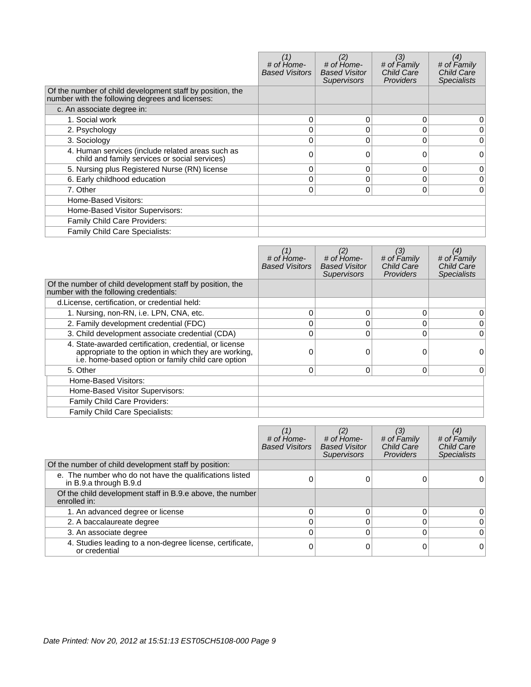|                                                                                                              | # of Home-<br><b>Based Visitors</b> | (2)<br># of Home-<br><b>Based Visitor</b><br><b>Supervisors</b> | (3)<br># of Family<br><b>Child Care</b><br><b>Providers</b> | (4)<br># of Family<br><b>Child Care</b><br><b>Specialists</b> |
|--------------------------------------------------------------------------------------------------------------|-------------------------------------|-----------------------------------------------------------------|-------------------------------------------------------------|---------------------------------------------------------------|
| Of the number of child development staff by position, the<br>number with the following degrees and licenses: |                                     |                                                                 |                                                             |                                                               |
| c. An associate degree in:                                                                                   |                                     |                                                                 |                                                             |                                                               |
| 1. Social work                                                                                               | 0                                   | 0                                                               | $\mathbf{0}$                                                | 0                                                             |
| 2. Psychology                                                                                                | 0                                   |                                                                 | $\Omega$                                                    | 0                                                             |
| 3. Sociology                                                                                                 | 0                                   | 0                                                               | 0                                                           | 0                                                             |
| 4. Human services (include related areas such as<br>child and family services or social services)            |                                     |                                                                 | 0                                                           | 0                                                             |
| 5. Nursing plus Registered Nurse (RN) license                                                                | 0                                   | 0                                                               | $\Omega$                                                    | 0                                                             |
| 6. Early childhood education                                                                                 | 0                                   |                                                                 | 0                                                           | $\Omega$                                                      |
| 7. Other                                                                                                     | $\Omega$                            | 0                                                               | $\Omega$                                                    | 0                                                             |
| Home-Based Visitors:                                                                                         |                                     |                                                                 |                                                             |                                                               |
| Home-Based Visitor Supervisors:                                                                              |                                     |                                                                 |                                                             |                                                               |
| Family Child Care Providers:                                                                                 |                                     |                                                                 |                                                             |                                                               |
| Family Child Care Specialists:                                                                               |                                     |                                                                 |                                                             |                                                               |

|                                                                                                                                                                      | # of Home-<br><b>Based Visitors</b> | # of Home-<br><b>Based Visitor</b><br><b>Supervisors</b> | (3)<br># of Family<br><b>Child Care</b><br><b>Providers</b> | (4)<br># of Family<br>Child Care<br><b>Specialists</b> |
|----------------------------------------------------------------------------------------------------------------------------------------------------------------------|-------------------------------------|----------------------------------------------------------|-------------------------------------------------------------|--------------------------------------------------------|
| Of the number of child development staff by position, the<br>number with the following credentials:                                                                  |                                     |                                                          |                                                             |                                                        |
| d.License, certification, or credential held:                                                                                                                        |                                     |                                                          |                                                             |                                                        |
| 1. Nursing, non-RN, i.e. LPN, CNA, etc.                                                                                                                              |                                     | 0                                                        | 0                                                           | 0                                                      |
| 2. Family development credential (FDC)                                                                                                                               |                                     | 0                                                        | 0                                                           | $\overline{0}$                                         |
| 3. Child development associate credential (CDA)                                                                                                                      |                                     | $\Omega$                                                 | $\Omega$                                                    | $\overline{0}$                                         |
| 4. State-awarded certification, credential, or license<br>appropriate to the option in which they are working,<br>i.e. home-based option or family child care option |                                     |                                                          |                                                             | 0                                                      |
| 5. Other                                                                                                                                                             | 0                                   | 0                                                        | 0                                                           | 0                                                      |
| Home-Based Visitors:                                                                                                                                                 |                                     |                                                          |                                                             |                                                        |
| Home-Based Visitor Supervisors:                                                                                                                                      |                                     |                                                          |                                                             |                                                        |
| Family Child Care Providers:                                                                                                                                         |                                     |                                                          |                                                             |                                                        |
| Family Child Care Specialists:                                                                                                                                       |                                     |                                                          |                                                             |                                                        |

|                                                                                   | # of Home-<br><b>Based Visitors</b> | # of Home-<br><b>Based Visitor</b><br>Supervisors | (3)<br># of Family<br><b>Child Care</b><br>Providers | (4)<br># of Family<br>Child Care<br><b>Specialists</b> |
|-----------------------------------------------------------------------------------|-------------------------------------|---------------------------------------------------|------------------------------------------------------|--------------------------------------------------------|
| Of the number of child development staff by position:                             |                                     |                                                   |                                                      |                                                        |
| e. The number who do not have the qualifications listed<br>in B.9.a through B.9.d |                                     |                                                   |                                                      |                                                        |
| Of the child development staff in B.9.e above, the number<br>enrolled in:         |                                     |                                                   |                                                      |                                                        |
| 1. An advanced degree or license                                                  |                                     |                                                   |                                                      | 0                                                      |
| 2. A baccalaureate degree                                                         |                                     |                                                   |                                                      | 0                                                      |
| 3. An associate degree                                                            |                                     |                                                   |                                                      | $\Omega$                                               |
| 4. Studies leading to a non-degree license, certificate,<br>or credential         |                                     |                                                   |                                                      | 0                                                      |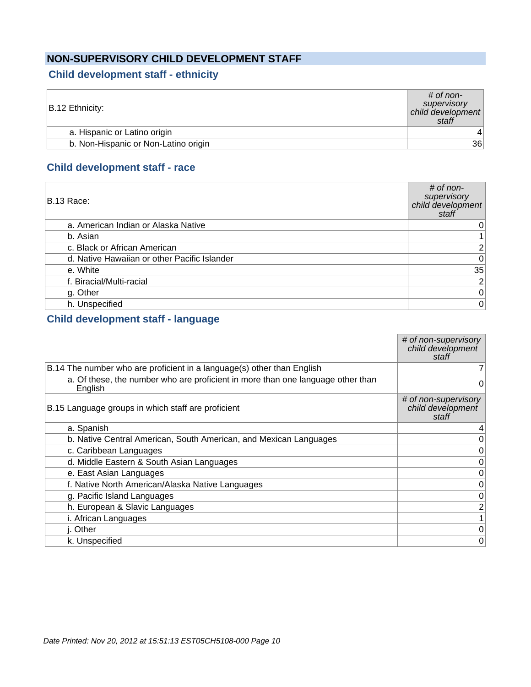## **NON-SUPERVISORY CHILD DEVELOPMENT STAFF**

## **Child development staff - ethnicity**

| B.12 Ethnicity:                      | $\#$ of non-<br>supervisory<br>child development<br>staff |
|--------------------------------------|-----------------------------------------------------------|
| a. Hispanic or Latino origin         |                                                           |
| b. Non-Hispanic or Non-Latino origin | 36                                                        |
|                                      |                                                           |

#### **Child development staff - race**

| B.13 Race:                                   | $#$ of non-<br>supervisory<br>child development<br>staff |
|----------------------------------------------|----------------------------------------------------------|
| a. American Indian or Alaska Native          | 0                                                        |
| b. Asian                                     | 1                                                        |
| c. Black or African American                 | $\overline{2}$                                           |
| d. Native Hawaiian or other Pacific Islander | $\boldsymbol{0}$                                         |
| e. White                                     | 35                                                       |
| f. Biracial/Multi-racial                     | $\overline{2}$                                           |
| g. Other                                     | $\overline{0}$                                           |
| h. Unspecified                               | $\overline{0}$                                           |

## **Child development staff - language**

|                                                                                            | # of non-supervisory<br>child development<br>staff |
|--------------------------------------------------------------------------------------------|----------------------------------------------------|
| B.14 The number who are proficient in a language(s) other than English                     | 7                                                  |
| a. Of these, the number who are proficient in more than one language other than<br>English | 0                                                  |
| B.15 Language groups in which staff are proficient                                         | # of non-supervisory<br>child development<br>staff |
| a. Spanish                                                                                 | 4                                                  |
| b. Native Central American, South American, and Mexican Languages                          | 0                                                  |
| c. Caribbean Languages                                                                     | 0                                                  |
| d. Middle Eastern & South Asian Languages                                                  | 0                                                  |
| e. East Asian Languages                                                                    | 0                                                  |
| f. Native North American/Alaska Native Languages                                           | 0                                                  |
| g. Pacific Island Languages                                                                | 0                                                  |
| h. European & Slavic Languages                                                             | $\overline{c}$                                     |
| i. African Languages                                                                       | $\mathbf 1$                                        |
| j. Other                                                                                   | 0                                                  |
| k. Unspecified                                                                             | 0                                                  |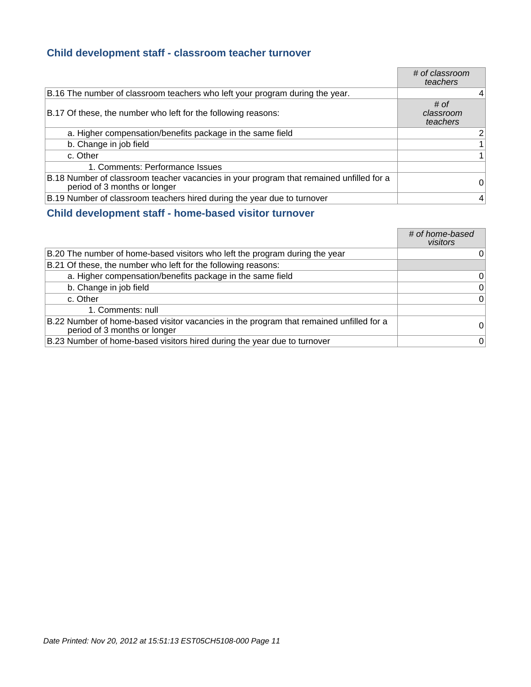#### **Child development staff - classroom teacher turnover**

|                                                                                                                         | # of classroom<br>teachers    |
|-------------------------------------------------------------------------------------------------------------------------|-------------------------------|
| B.16 The number of classroom teachers who left your program during the year.                                            | 4                             |
| B.17 Of these, the number who left for the following reasons:                                                           | # of<br>classroom<br>teachers |
| a. Higher compensation/benefits package in the same field                                                               | 2                             |
| b. Change in job field                                                                                                  |                               |
| c. Other                                                                                                                |                               |
| 1. Comments: Performance Issues                                                                                         |                               |
| B.18 Number of classroom teacher vacancies in your program that remained unfilled for a<br>period of 3 months or longer | 0                             |
| B.19 Number of classroom teachers hired during the year due to turnover                                                 | 4                             |

## **Child development staff - home-based visitor turnover**

|                                                                                                                         | # of home-based<br>visitors |
|-------------------------------------------------------------------------------------------------------------------------|-----------------------------|
| B.20 The number of home-based visitors who left the program during the year                                             | 0                           |
| B.21 Of these, the number who left for the following reasons:                                                           |                             |
| a. Higher compensation/benefits package in the same field                                                               | 0                           |
| b. Change in job field                                                                                                  | 0                           |
| c. Other                                                                                                                | $\Omega$                    |
| 1. Comments: null                                                                                                       |                             |
| B.22 Number of home-based visitor vacancies in the program that remained unfilled for a<br>period of 3 months or longer | 0                           |
| B.23 Number of home-based visitors hired during the year due to turnover                                                | 0                           |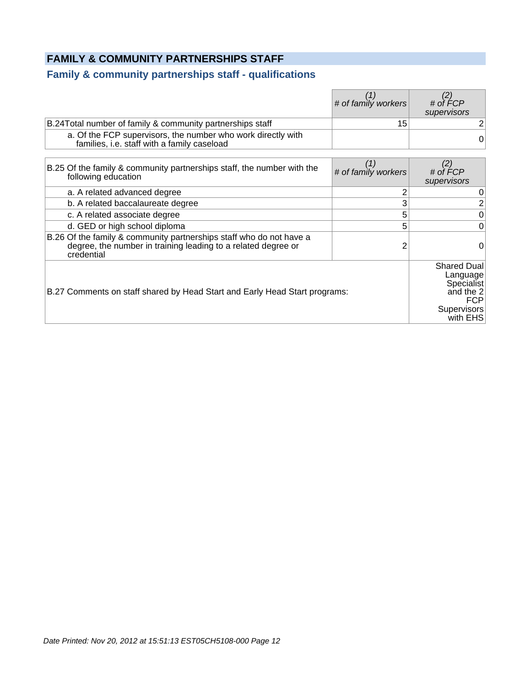## **FAMILY & COMMUNITY PARTNERSHIPS STAFF**

## **Family & community partnerships staff - qualifications**

|                                                                                                                                                    | (1)<br># of family workers | (2)<br># of $\widehat{FCP}$<br>supervisors                                             |
|----------------------------------------------------------------------------------------------------------------------------------------------------|----------------------------|----------------------------------------------------------------------------------------|
| B.24 Total number of family & community partnerships staff                                                                                         | 15                         | 2                                                                                      |
| a. Of the FCP supervisors, the number who work directly with<br>families, i.e. staff with a family caseload                                        |                            | $\Omega$                                                                               |
| B.25 Of the family & community partnerships staff, the number with the<br>following education                                                      | (1)<br># of family workers | $(2)$<br># of FCP<br>supervisors                                                       |
| a. A related advanced degree                                                                                                                       |                            | 0                                                                                      |
| b. A related baccalaureate degree                                                                                                                  | 3                          | 2                                                                                      |
| c. A related associate degree                                                                                                                      | 5                          | 0                                                                                      |
| d. GED or high school diploma                                                                                                                      | 5                          | 0                                                                                      |
| B.26 Of the family & community partnerships staff who do not have a<br>degree, the number in training leading to a related degree or<br>credential | 2                          | 0                                                                                      |
| B.27 Comments on staff shared by Head Start and Early Head Start programs:                                                                         |                            | Shared Dual<br>Language<br>Specialist<br>and the $2$<br>FCP<br>Supervisors<br>with EHS |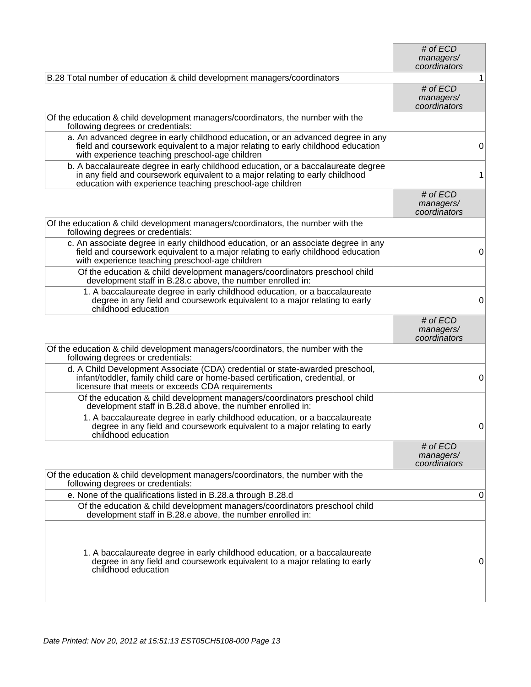|                                                                                                                                                                                                                                 | # of $ECD$<br>managers/<br>coordinators |
|---------------------------------------------------------------------------------------------------------------------------------------------------------------------------------------------------------------------------------|-----------------------------------------|
| B.28 Total number of education & child development managers/coordinators                                                                                                                                                        | 1                                       |
|                                                                                                                                                                                                                                 | # of ECD<br>managers/<br>coordinators   |
| Of the education & child development managers/coordinators, the number with the<br>following degrees or credentials:                                                                                                            |                                         |
| a. An advanced degree in early childhood education, or an advanced degree in any<br>field and coursework equivalent to a major relating to early childhood education<br>with experience teaching preschool-age children         | 0                                       |
| b. A baccalaureate degree in early childhood education, or a baccalaureate degree<br>in any field and coursework equivalent to a major relating to early childhood<br>education with experience teaching preschool-age children | 1                                       |
|                                                                                                                                                                                                                                 | # of $ECD$<br>managers/<br>coordinators |
| Of the education & child development managers/coordinators, the number with the<br>following degrees or credentials:                                                                                                            |                                         |
| c. An associate degree in early childhood education, or an associate degree in any<br>field and coursework equivalent to a major relating to early childhood education<br>with experience teaching preschool-age children       | 0                                       |
| Of the education & child development managers/coordinators preschool child<br>development staff in B.28.c above, the number enrolled in:                                                                                        |                                         |
| 1. A baccalaureate degree in early childhood education, or a baccalaureate<br>degree in any field and coursework equivalent to a major relating to early<br>childhood education                                                 | 0                                       |
|                                                                                                                                                                                                                                 | # of $ECD$<br>managers/<br>coordinators |
| Of the education & child development managers/coordinators, the number with the<br>following degrees or credentials:                                                                                                            |                                         |
| d. A Child Development Associate (CDA) credential or state-awarded preschool,<br>infant/toddler, family child care or home-based certification, credential, or<br>licensure that meets or exceeds CDA requirements              | 0                                       |
| Of the education & child development managers/coordinators preschool child<br>development staff in B.28.d above, the number enrolled in:                                                                                        |                                         |
| 1. A baccalaureate degree in early childhood education, or a baccalaureate<br>degree in any field and coursework equivalent to a major relating to early<br>childhood education                                                 | 0                                       |
|                                                                                                                                                                                                                                 | # of ECD<br>managers/<br>coordinators   |
| Of the education & child development managers/coordinators, the number with the<br>following degrees or credentials:                                                                                                            |                                         |
| e. None of the qualifications listed in B.28.a through B.28.d                                                                                                                                                                   | 0                                       |
| Of the education & child development managers/coordinators preschool child<br>development staff in B.28 e above, the number enrolled in:                                                                                        |                                         |
| 1. A baccalaureate degree in early childhood education, or a baccalaureate<br>degree in any field and coursework equivalent to a major relating to early<br>childhood education                                                 | 0                                       |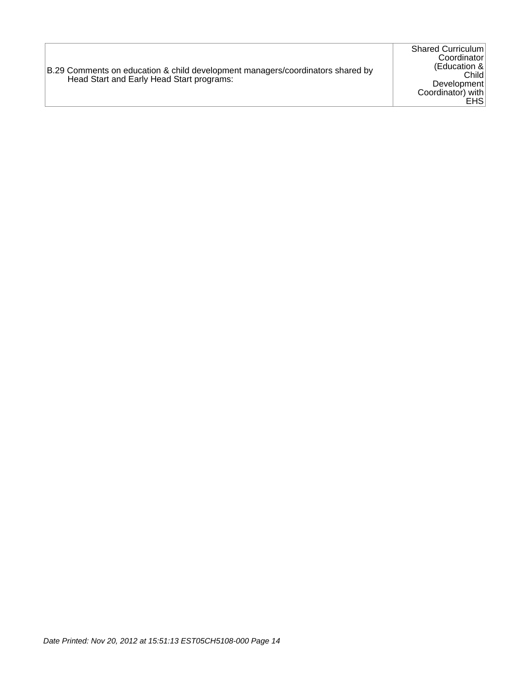B.29 Comments on education & child development managers/coordinators shared by Head Start and Early Head Start programs:

Shared Curriculum Coordinator (Education & Child Development Coordinator) with EHS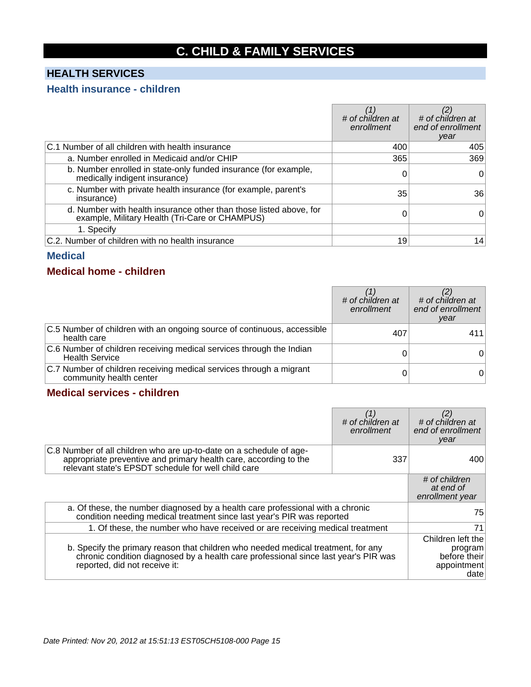## **C. CHILD & FAMILY SERVICES**

## **HEALTH SERVICES**

#### **Health insurance - children**

|                                                                                                                      | # of children at<br>enrollment | # of children at<br>end of enrollment<br>year |
|----------------------------------------------------------------------------------------------------------------------|--------------------------------|-----------------------------------------------|
| C.1 Number of all children with health insurance                                                                     | 400                            | 405                                           |
| a. Number enrolled in Medicaid and/or CHIP                                                                           | 365                            | 369                                           |
| b. Number enrolled in state-only funded insurance (for example,<br>medically indigent insurance)                     |                                | $\Omega$                                      |
| c. Number with private health insurance (for example, parent's<br>insurance)                                         | 35                             | 36                                            |
| d. Number with health insurance other than those listed above, for<br>example, Military Health (Tri-Care or CHAMPUS) |                                | 0                                             |
| 1. Specify                                                                                                           |                                |                                               |
| C.2. Number of children with no health insurance                                                                     | 19                             | 14                                            |

#### **Medical**

#### **Medical home - children**

|                                                                                                | # of children at<br>enrollment | # of children at<br>end of enrollment<br>year |
|------------------------------------------------------------------------------------------------|--------------------------------|-----------------------------------------------|
| C.5 Number of children with an ongoing source of continuous, accessible<br>health care         | 407                            | 411                                           |
| C.6 Number of children receiving medical services through the Indian<br><b>Health Service</b>  |                                | 0                                             |
| C.7 Number of children receiving medical services through a migrant<br>community health center |                                | 0                                             |

## **Medical services - children**

|                                                                                                                                                                                                           | # of children at<br>enrollment | (2)<br># of children at<br>end of enrollment<br>year                |
|-----------------------------------------------------------------------------------------------------------------------------------------------------------------------------------------------------------|--------------------------------|---------------------------------------------------------------------|
| C.8 Number of all children who are up-to-date on a schedule of age-<br>appropriate preventive and primary health care, according to the<br>relevant state's EPSDT schedule for well child care            | 337                            | 400                                                                 |
|                                                                                                                                                                                                           |                                | # of children<br>at end of<br>enrollment year                       |
| a. Of these, the number diagnosed by a health care professional with a chronic<br>condition needing medical treatment since last year's PIR was reported                                                  |                                | 75                                                                  |
| 1. Of these, the number who have received or are receiving medical treatment                                                                                                                              |                                | 71                                                                  |
| b. Specify the primary reason that children who needed medical treatment, for any<br>chronic condition diagnosed by a health care professional since last year's PIR was<br>reported, did not receive it: |                                | Children left the<br>program<br>before their<br>appointment<br>date |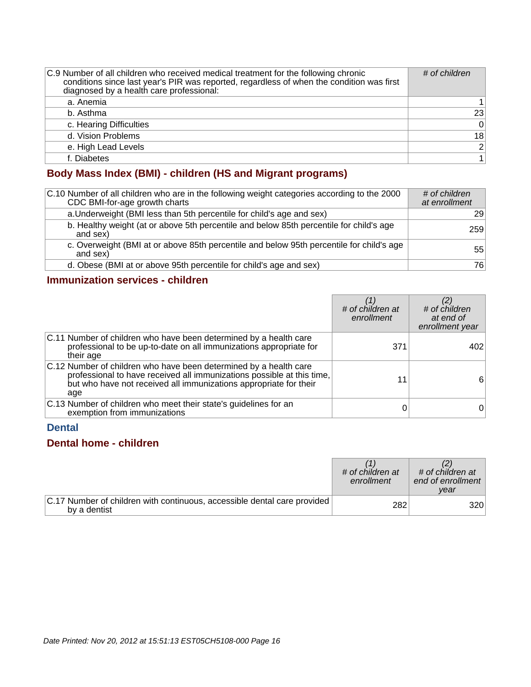| C.9 Number of all children who received medical treatment for the following chronic<br>conditions since last year's PIR was reported, regardless of when the condition was first<br>diagnosed by a health care professional: | # of children  |
|------------------------------------------------------------------------------------------------------------------------------------------------------------------------------------------------------------------------------|----------------|
| a. Anemia                                                                                                                                                                                                                    |                |
| b. Asthma                                                                                                                                                                                                                    | 23             |
| c. Hearing Difficulties                                                                                                                                                                                                      | $\Omega$       |
| d. Vision Problems                                                                                                                                                                                                           | 18             |
| e. High Lead Levels                                                                                                                                                                                                          | $\overline{2}$ |
| f. Diabetes                                                                                                                                                                                                                  |                |

## **Body Mass Index (BMI) - children (HS and Migrant programs)**

| C.10 Number of all children who are in the following weight categories according to the 2000<br>CDC BMI-for-age growth charts | # of children<br>at enrollment |
|-------------------------------------------------------------------------------------------------------------------------------|--------------------------------|
| a. Underweight (BMI less than 5th percentile for child's age and sex)                                                         | 291                            |
| b. Healthy weight (at or above 5th percentile and below 85th percentile for child's age<br>and sex)                           | 259                            |
| c. Overweight (BMI at or above 85th percentile and below 95th percentile for child's age<br>and sex)                          | 551                            |
| d. Obese (BMI at or above 95th percentile for child's age and sex)                                                            | 76                             |

## **Immunization services - children**

|                                                                                                                                                                                                                         | # of children at<br>enrollment | # of children<br>at end of<br>enrollment year |
|-------------------------------------------------------------------------------------------------------------------------------------------------------------------------------------------------------------------------|--------------------------------|-----------------------------------------------|
| C.11 Number of children who have been determined by a health care<br>professional to be up-to-date on all immunizations appropriate for<br>their age                                                                    | 371                            | 402                                           |
| C.12 Number of children who have been determined by a health care<br>professional to have received all immunizations possible at this time,<br>but who have not received all immunizations appropriate for their<br>age | 11                             | 6                                             |
| C.13 Number of children who meet their state's guidelines for an<br>exemption from immunizations                                                                                                                        |                                | 0                                             |

#### **Dental**

## **Dental home - children**

|                                                                                          | # of children at<br>enrollment | # of children at<br>end of enrollment<br>vear |
|------------------------------------------------------------------------------------------|--------------------------------|-----------------------------------------------|
| C.17 Number of children with continuous, accessible dental care provided<br>by a dentist | 282                            | 320 <sup>1</sup>                              |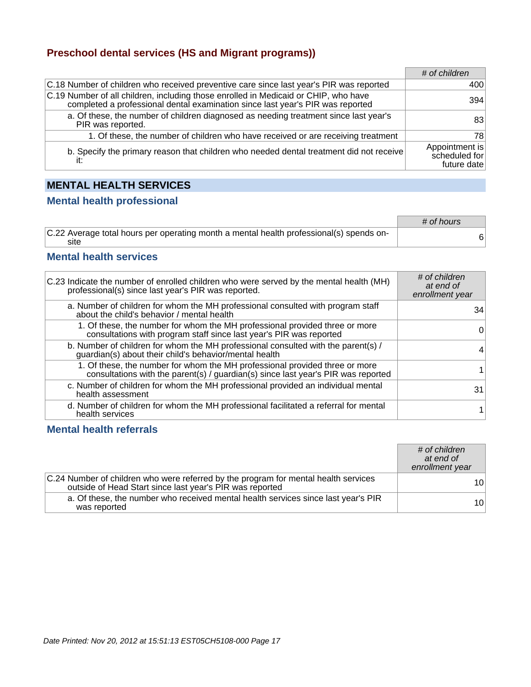#### **Preschool dental services (HS and Migrant programs))**

|                                                                                                                                                                       | # of children                                  |
|-----------------------------------------------------------------------------------------------------------------------------------------------------------------------|------------------------------------------------|
| C.18 Number of children who received preventive care since last year's PIR was reported                                                                               | 400                                            |
| C.19 Number of all children, including those enrolled in Medicaid or CHIP, who have<br>completed a professional dental examination since last year's PIR was reported | 394                                            |
| a. Of these, the number of children diagnosed as needing treatment since last year's<br>PIR was reported.                                                             | 83 <sup>°</sup>                                |
| 1. Of these, the number of children who have received or are receiving treatment                                                                                      | 781                                            |
| b. Specify the primary reason that children who needed dental treatment did not receive                                                                               | Appointment is<br>scheduled for<br>future date |

## **MENTAL HEALTH SERVICES**

#### **Mental health professional**

|                                                                                                 | # of hours |
|-------------------------------------------------------------------------------------------------|------------|
| C.22 Average total hours per operating month a mental health professional(s) spends on-<br>site |            |

#### **Mental health services**

| C.23 Indicate the number of enrolled children who were served by the mental health (MH)<br>professional(s) since last year's PIR was reported.                   | # of children<br>at end of<br>enrollment year |
|------------------------------------------------------------------------------------------------------------------------------------------------------------------|-----------------------------------------------|
| a. Number of children for whom the MH professional consulted with program staff<br>about the child's behavior / mental health                                    | 34                                            |
| 1. Of these, the number for whom the MH professional provided three or more<br>consultations with program staff since last year's PIR was reported               | 0                                             |
| b. Number of children for whom the MH professional consulted with the parent(s) /<br>guardian(s) about their child's behavior/mental health                      |                                               |
| 1. Of these, the number for whom the MH professional provided three or more<br>consultations with the parent(s) / guardian(s) since last year's PIR was reported |                                               |
| c. Number of children for whom the MH professional provided an individual mental<br>health assessment                                                            | 31                                            |
| d. Number of children for whom the MH professional facilitated a referral for mental<br>health services                                                          |                                               |

#### **Mental health referrals**

|                                                                                                                                                 | # of children<br>at end of<br>enrollment year |
|-------------------------------------------------------------------------------------------------------------------------------------------------|-----------------------------------------------|
| C.24 Number of children who were referred by the program for mental health services<br>outside of Head Start since last year's PIR was reported | 10 <sup>1</sup>                               |
| a. Of these, the number who received mental health services since last year's PIR<br>was reported                                               | 10 <sup>1</sup>                               |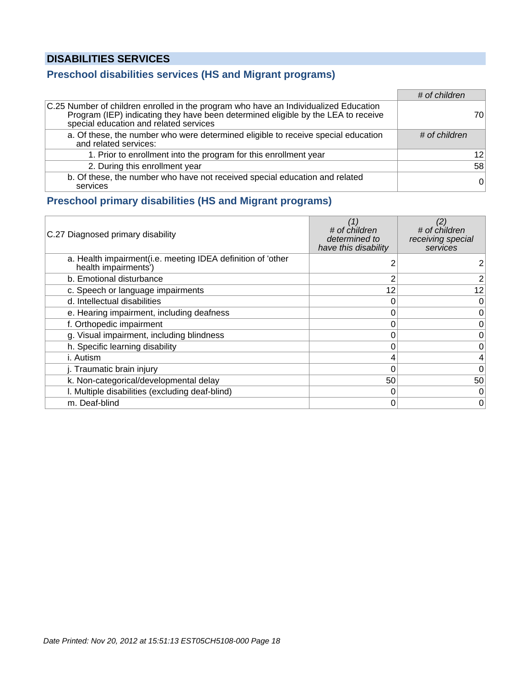## **DISABILITIES SERVICES**

## **Preschool disabilities services (HS and Migrant programs)**

|                                                                                                                                                                                                                     | # of children  |
|---------------------------------------------------------------------------------------------------------------------------------------------------------------------------------------------------------------------|----------------|
| C.25 Number of children enrolled in the program who have an Individualized Education<br>Program (IEP) indicating they have been determined eligible by the LEA to receive<br>special education and related services | 701            |
| a. Of these, the number who were determined eligible to receive special education<br>and related services:                                                                                                          | # of children  |
| 1. Prior to enrollment into the program for this enrollment year                                                                                                                                                    | 12             |
| 2. During this enrollment year                                                                                                                                                                                      | 58             |
| b. Of these, the number who have not received special education and related<br>services                                                                                                                             | $\overline{0}$ |

#### **Preschool primary disabilities (HS and Migrant programs)**

| C.27 Diagnosed primary disability                                                   | (1)<br># of children<br>determined to<br>have this disability | (2)<br># of children<br>receiving special<br>services |
|-------------------------------------------------------------------------------------|---------------------------------------------------------------|-------------------------------------------------------|
| a. Health impairment(i.e. meeting IDEA definition of 'other<br>health impairments') |                                                               |                                                       |
| b. Emotional disturbance                                                            |                                                               | 2                                                     |
| c. Speech or language impairments                                                   | 12                                                            | 12                                                    |
| d. Intellectual disabilities                                                        |                                                               | 0                                                     |
| e. Hearing impairment, including deafness                                           |                                                               | 0                                                     |
| f. Orthopedic impairment                                                            |                                                               | 0                                                     |
| g. Visual impairment, including blindness                                           |                                                               | 0                                                     |
| h. Specific learning disability                                                     | O                                                             | 0                                                     |
| i. Autism                                                                           |                                                               | 4                                                     |
| j. Traumatic brain injury                                                           |                                                               | 0                                                     |
| k. Non-categorical/developmental delay                                              | 50                                                            | 50                                                    |
| I. Multiple disabilities (excluding deaf-blind)                                     |                                                               | 0                                                     |
| m. Deaf-blind                                                                       | O                                                             | 0                                                     |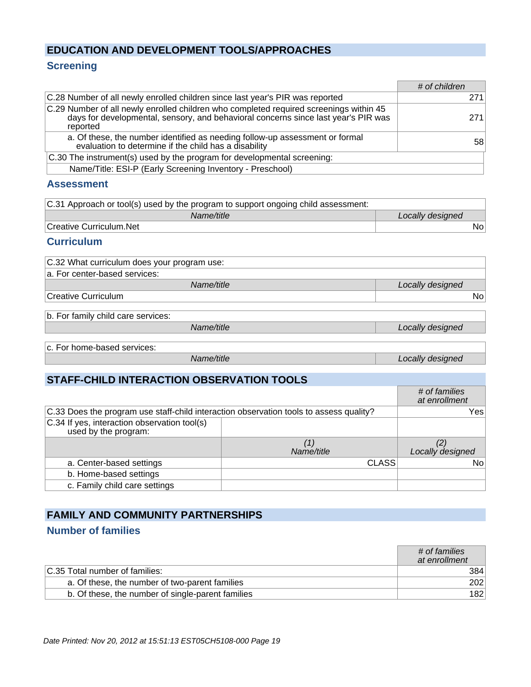#### **EDUCATION AND DEVELOPMENT TOOLS/APPROACHES**

## **Screening**

|                                                                                                                                                                                          | # of children   |
|------------------------------------------------------------------------------------------------------------------------------------------------------------------------------------------|-----------------|
| C.28 Number of all newly enrolled children since last year's PIR was reported                                                                                                            | 271             |
| C.29 Number of all newly enrolled children who completed required screenings within 45<br>days for developmental, sensory, and behavioral concerns since last year's PIR was<br>reported | 271             |
| a. Of these, the number identified as needing follow-up assessment or formal<br>evaluation to determine if the child has a disability                                                    | 58 <sub>1</sub> |
| C.30 The instrument(s) used by the program for developmental screening:                                                                                                                  |                 |
| ESI-P (Early Screening Inventory - Preschool)<br>Name/Title:                                                                                                                             |                 |

#### **Assessment**

| C.31 Approach or tool(s) used by the program to support ongoing child assessment: |                  |
|-----------------------------------------------------------------------------------|------------------|
| Name/title                                                                        | Locally designed |
| Creative Curriculum.Net                                                           | Noi              |

#### **Curriculum**

| C.32 What curriculum does your program use: |                  |  |  |
|---------------------------------------------|------------------|--|--|
| a. For center-based services:               |                  |  |  |
| Name/title                                  | Locally designed |  |  |
| Creative Curriculum                         | No.              |  |  |

|  |  |  |  |  | b. For family child care services: |
|--|--|--|--|--|------------------------------------|
|--|--|--|--|--|------------------------------------|

Name/title Locally designed

c. For home-based services:

Name/title Locally designed

## **STAFF-CHILD INTERACTION OBSERVATION TOOLS**

|                                                                                        |              | # of families<br>at enrollment |
|----------------------------------------------------------------------------------------|--------------|--------------------------------|
| C.33 Does the program use staff-child interaction observation tools to assess quality? |              | Yesl                           |
| C.34 If yes, interaction observation tool(s)<br>used by the program:                   |              |                                |
|                                                                                        | Name/title   | Locally designed               |
| a. Center-based settings                                                               | <b>CLASS</b> | No                             |
| b. Home-based settings                                                                 |              |                                |
| c. Family child care settings                                                          |              |                                |

## **FAMILY AND COMMUNITY PARTNERSHIPS**

#### **Number of families**

|                                                   | # of families<br>at enrollment |
|---------------------------------------------------|--------------------------------|
| C.35 Total number of families:                    | 384                            |
| a. Of these, the number of two-parent families    | 202                            |
| b. Of these, the number of single-parent families | 182                            |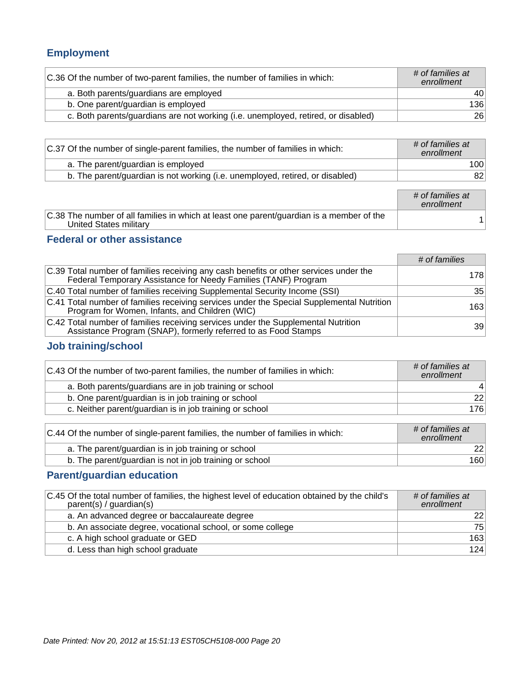## **Employment**

| C.36 Of the number of two-parent families, the number of families in which:       | # of families at<br>enrollment |
|-----------------------------------------------------------------------------------|--------------------------------|
| a. Both parents/guardians are employed                                            | 40                             |
| b. One parent/guardian is employed                                                | 136                            |
| c. Both parents/guardians are not working (i.e. unemployed, retired, or disabled) | 26                             |

| C.37 Of the number of single-parent families, the number of families in which: | # of families at<br>enrollment |
|--------------------------------------------------------------------------------|--------------------------------|
| a. The parent/guardian is employed                                             | 100                            |
| b. The parent/guardian is not working (i.e. unemployed, retired, or disabled)  | 82                             |
|                                                                                |                                |

|                                                                                                                    | # of families at<br>enrollment |
|--------------------------------------------------------------------------------------------------------------------|--------------------------------|
| C.38 The number of all families in which at least one parent/guardian is a member of the<br>United States military |                                |

## **Federal or other assistance**

|                                                                                                                                                         | # of families |
|---------------------------------------------------------------------------------------------------------------------------------------------------------|---------------|
| C.39 Total number of families receiving any cash benefits or other services under the<br>Federal Temporary Assistance for Needy Families (TANF) Program | 1781          |
| C.40 Total number of families receiving Supplemental Security Income (SSI)                                                                              | 35            |
| C.41 Total number of families receiving services under the Special Supplemental Nutrition<br>Program for Women, Infants, and Children (WIC)             | 163           |
| C.42 Total number of families receiving services under the Supplemental Nutrition<br>Assistance Program (SNAP), formerly referred to as Food Stamps     | 39            |

## **Job training/school**

| C.43 Of the number of two-parent families, the number of families in which: | # of families at<br>enrollment |
|-----------------------------------------------------------------------------|--------------------------------|
| a. Both parents/guardians are in job training or school                     | $\vert$                        |
| b. One parent/guardian is in job training or school                         | 22                             |
| c. Neither parent/guardian is in job training or school                     | 176                            |
|                                                                             |                                |

| C.44 Of the number of single-parent families, the number of families in which: | # of families at<br>enrollment |
|--------------------------------------------------------------------------------|--------------------------------|
| a. The parent/guardian is in job training or school                            | 221                            |
| b. The parent/guardian is not in job training or school                        | 160                            |

## **Parent/guardian education**

| C.45 Of the total number of families, the highest level of education obtained by the child's<br>parent(s) / quartian(s) | # of families at<br>enrollment |
|-------------------------------------------------------------------------------------------------------------------------|--------------------------------|
| a. An advanced degree or baccalaureate degree                                                                           | 22                             |
| b. An associate degree, vocational school, or some college                                                              | 75                             |
| c. A high school graduate or GED                                                                                        | 163                            |
| d. Less than high school graduate                                                                                       | 124                            |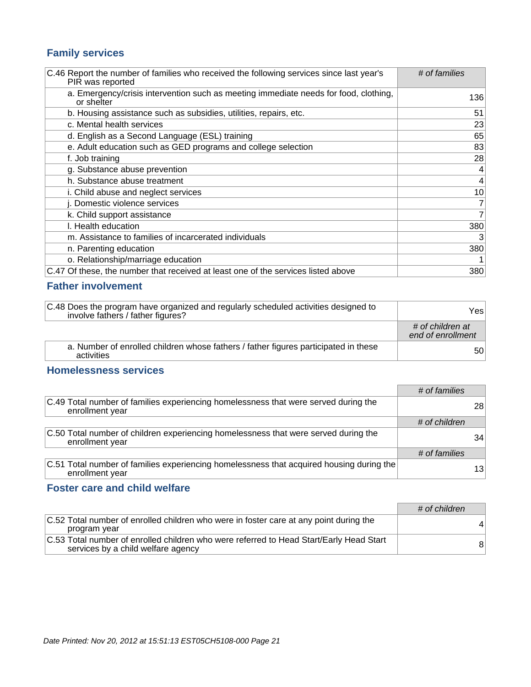## **Family services**

| C.46 Report the number of families who received the following services since last year's<br>PIR was reported | # of families |
|--------------------------------------------------------------------------------------------------------------|---------------|
| a. Emergency/crisis intervention such as meeting immediate needs for food, clothing,<br>or shelter           | 136           |
| b. Housing assistance such as subsidies, utilities, repairs, etc.                                            | 51            |
| c. Mental health services                                                                                    | 23            |
| d. English as a Second Language (ESL) training                                                               | 65            |
| e. Adult education such as GED programs and college selection                                                | 83            |
| f. Job training                                                                                              | 28            |
| g. Substance abuse prevention                                                                                | 4             |
| h. Substance abuse treatment                                                                                 | 4             |
| i. Child abuse and neglect services                                                                          | 10            |
| j. Domestic violence services                                                                                | $\mathsf{7}$  |
| k. Child support assistance                                                                                  | 7             |
| I. Health education                                                                                          | 380           |
| m. Assistance to families of incarcerated individuals                                                        | 3             |
| n. Parenting education                                                                                       | 380           |
| o. Relationship/marriage education                                                                           |               |
| C.47 Of these, the number that received at least one of the services listed above                            | 380           |

#### **Father involvement**

| C.48 Does the program have organized and regularly scheduled activities designed to<br>involve fathers / father figures? | Yesl                                  |
|--------------------------------------------------------------------------------------------------------------------------|---------------------------------------|
|                                                                                                                          | # of children at<br>end of enrollment |
| a. Number of enrolled children whose fathers / father figures participated in these<br>activities                        | 50                                    |

## **Homelessness services**

|                                                                                                                | # of families |                 |
|----------------------------------------------------------------------------------------------------------------|---------------|-----------------|
| C.49 Total number of families experiencing homelessness that were served during the<br>enrollment year         |               | 28              |
|                                                                                                                | # of children |                 |
| C.50 Total number of children experiencing homelessness that were served during the<br>enrollment year         |               | 34 <sub>1</sub> |
|                                                                                                                | # of families |                 |
| $ C.51$ Total number of families experiencing homelessness that acquired housing during the<br>enrollment year |               | 13 <sub>1</sub> |

## **Foster care and child welfare**

|                                                                                                                               | # of children |
|-------------------------------------------------------------------------------------------------------------------------------|---------------|
| C.52 Total number of enrolled children who were in foster care at any point during the<br>program year                        |               |
| C.53 Total number of enrolled children who were referred to Head Start/Early Head Start<br>services by a child welfare agency | 8             |